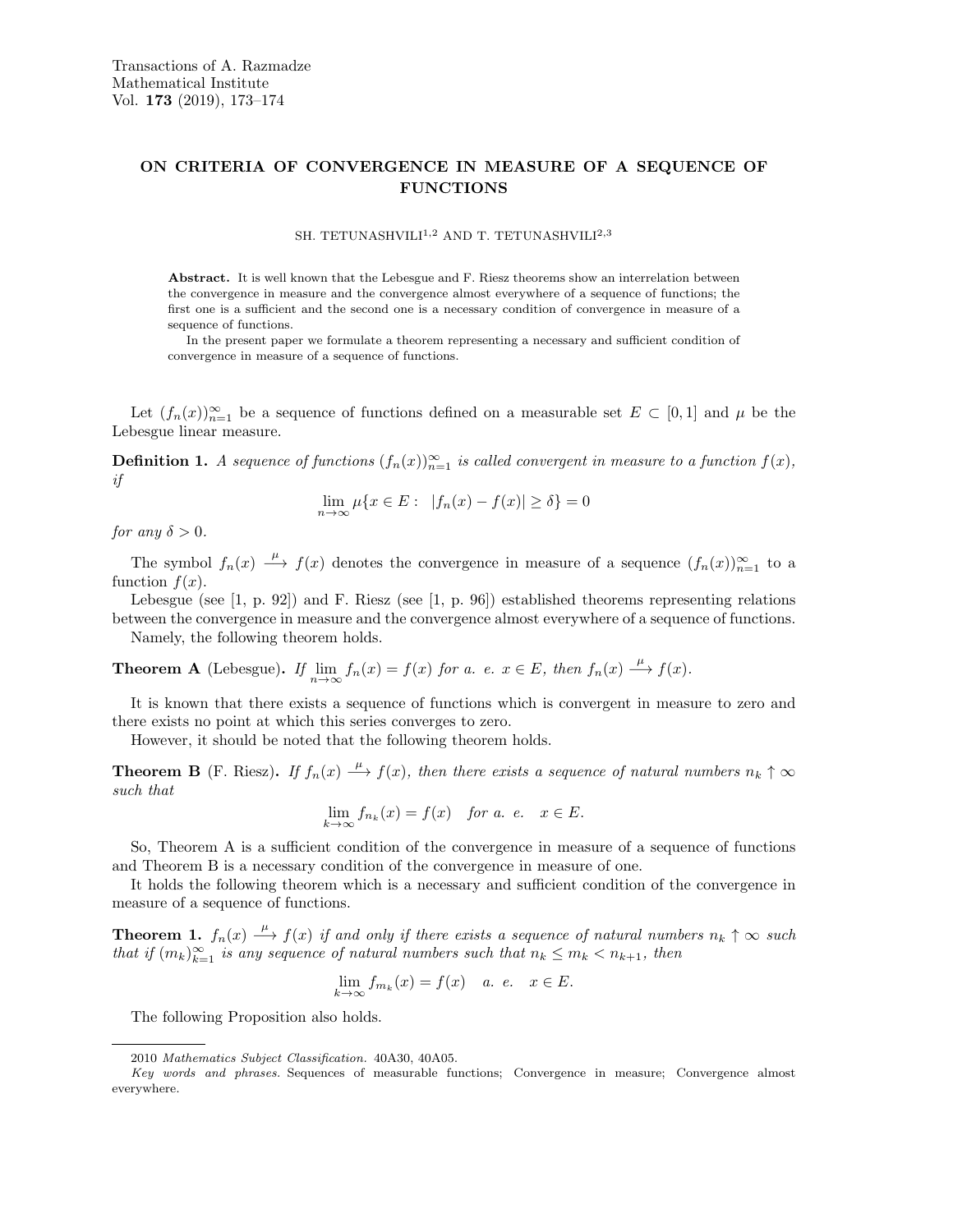## ON CRITERIA OF CONVERGENCE IN MEASURE OF A SEQUENCE OF FUNCTIONS

SH. TETUNASHVILI<sup>1,2</sup> AND T. TETUNASHVILI<sup>2,3</sup>

Abstract. It is well known that the Lebesgue and F. Riesz theorems show an interrelation between the convergence in measure and the convergence almost everywhere of a sequence of functions; the first one is a sufficient and the second one is a necessary condition of convergence in measure of a sequence of functions.

In the present paper we formulate a theorem representing a necessary and sufficient condition of convergence in measure of a sequence of functions.

Let  $(f_n(x))_{n=1}^{\infty}$  be a sequence of functions defined on a measurable set  $E \subset [0,1]$  and  $\mu$  be the Lebesgue linear measure.

**Definition 1.** A sequence of functions  $(f_n(x))_{n=1}^{\infty}$  is called convergent in measure to a function  $f(x)$ , if

$$
\lim_{n \to \infty} \mu\{x \in E: |f_n(x) - f(x)| \ge \delta\} = 0
$$

for any  $\delta > 0$ .

The symbol  $f_n(x) \stackrel{\mu}{\longrightarrow} f(x)$  denotes the convergence in measure of a sequence  $(f_n(x))_{n=1}^{\infty}$  to a function  $f(x)$ .

Lebesgue (see [1, p. 92]) and F. Riesz (see [1, p. 96]) established theorems representing relations between the convergence in measure and the convergence almost everywhere of a sequence of functions.

Namely, the following theorem holds.

**Theorem A** (Lebesgue). If  $\lim_{n \to \infty} f_n(x) = f(x)$  for a. e.  $x \in E$ , then  $f_n(x) \xrightarrow{\mu} f(x)$ .

It is known that there exists a sequence of functions which is convergent in measure to zero and there exists no point at which this series converges to zero.

However, it should be noted that the following theorem holds.

**Theorem B** (F. Riesz). If  $f_n(x) \stackrel{\mu}{\longrightarrow} f(x)$ , then there exists a sequence of natural numbers  $n_k \uparrow \infty$ such that

$$
\lim_{k \to \infty} f_{n_k}(x) = f(x) \quad \text{for a. e.} \quad x \in E.
$$

So, Theorem A is a sufficient condition of the convergence in measure of a sequence of functions and Theorem B is a necessary condition of the convergence in measure of one.

It holds the following theorem which is a necessary and sufficient condition of the convergence in measure of a sequence of functions.

**Theorem 1.**  $f_n(x) \stackrel{\mu}{\longrightarrow} f(x)$  if and only if there exists a sequence of natural numbers  $n_k \uparrow \infty$  such that if  $(m_k)_{k=1}^{\infty}$  is any sequence of natural numbers such that  $n_k \leq m_k < n_{k+1}$ , then

$$
\lim_{k \to \infty} f_{m_k}(x) = f(x) \quad a. \quad e. \quad x \in E.
$$

The following Proposition also holds.

<sup>2010</sup> Mathematics Subject Classification. 40A30, 40A05.

Key words and phrases. Sequences of measurable functions; Convergence in measure; Convergence almost everywhere.